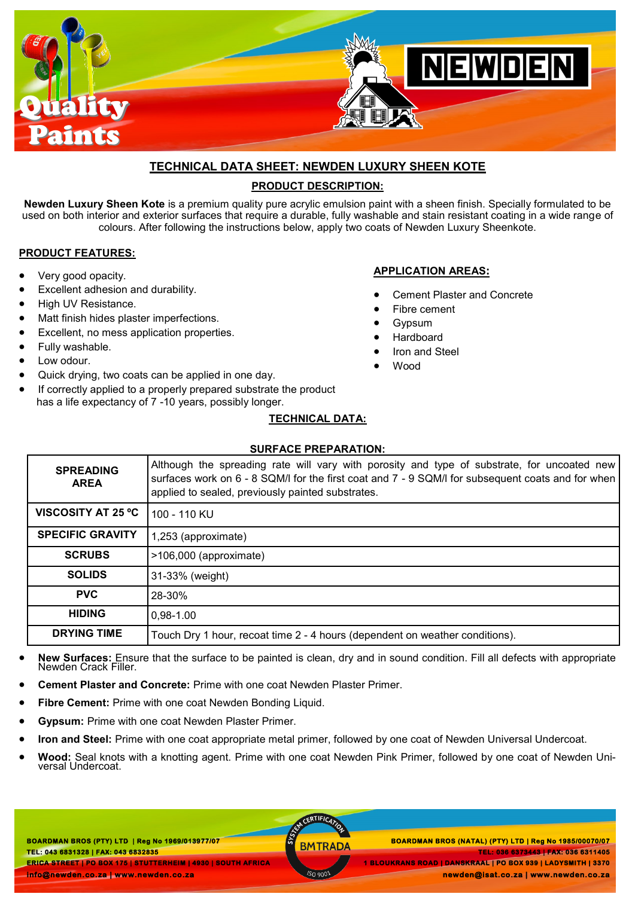

# **TECHNICAL DATA SHEET: NEWDEN LUXURY SHEEN KOTE**

# **PRODUCT DESCRIPTION:**

**Newden Luxury Sheen Kote** is a premium quality pure acrylic emulsion paint with a sheen finish. Specially formulated to be used on both interior and exterior surfaces that require a durable, fully washable and stain resistant coating in a wide range of colours. After following the instructions below, apply two coats of Newden Luxury Sheenkote.

## **PRODUCT FEATURES:**

- Very good opacity.
- Excellent adhesion and durability.
- High UV Resistance.
- Matt finish hides plaster imperfections.
- Excellent, no mess application properties.
- Fully washable.
- Low odour.
- Quick drying, two coats can be applied in one day.
- If correctly applied to a properly prepared substrate the product

# **APPLICATION AREAS:** Cement Plaster and Concrete

- Fibre cement
- Gypsum
- Hardboard
- Iron and Steel
- Wood
- 
- has a life expectancy of 7 -10 years, possibly longer.

## **TECHNICAL DATA:**

#### **SURFACE PREPARATION:**

| <b>SPREADING</b><br><b>AREA</b> | Although the spreading rate will vary with porosity and type of substrate, for uncoated new<br>surfaces work on 6 - 8 SQM/I for the first coat and 7 - 9 SQM/I for subsequent coats and for when<br>applied to sealed, previously painted substrates. |
|---------------------------------|-------------------------------------------------------------------------------------------------------------------------------------------------------------------------------------------------------------------------------------------------------|
| <b>VISCOSITY AT 25 °C</b>       | 100 - 110 KU                                                                                                                                                                                                                                          |
| <b>SPECIFIC GRAVITY</b>         | 1,253 (approximate)                                                                                                                                                                                                                                   |
| <b>SCRUBS</b>                   | >106,000 (approximate)                                                                                                                                                                                                                                |
| <b>SOLIDS</b>                   | 31-33% (weight)                                                                                                                                                                                                                                       |
| <b>PVC</b>                      | 28-30%                                                                                                                                                                                                                                                |
| <b>HIDING</b>                   | $0,98-1.00$                                                                                                                                                                                                                                           |
| <b>DRYING TIME</b>              | Touch Dry 1 hour, recoat time 2 - 4 hours (dependent on weather conditions).                                                                                                                                                                          |

- **New Surfaces:** Ensure that the surface to be painted is clean, dry and in sound condition. Fill all defects with appropriate Newden Crack Filler.
- **Cement Plaster and Concrete:** Prime with one coat Newden Plaster Primer.
- **Fibre Cement:** Prime with one coat Newden Bonding Liquid.
- **Gypsum:** Prime with one coat Newden Plaster Primer.
- **Iron and Steel:** Prime with one coat appropriate metal primer, followed by one coat of Newden Universal Undercoat.
- **Wood:** Seal knots with a knotting agent. Prime with one coat Newden Pink Primer, followed by one coat of Newden Universal Undercoat.

**BOARDMAN BROS (PTY) LTD | Reg No 1969/013977/07 TEL: 043 6831328 | FAX: 043 6832835 ERICA STREET | PO BOX 175 | STUTTERHEIM | 4930 | SOUTH AFRICA info@newden.co.za | www.newden.co.za** 

CERTIFICAT

 **BOARDMAN BROS (PTY) LTD | Reg No 1969/013977/07 BOARDMAN BROS (NATAL) (PTY) LTD | Reg No 1985/00070/07 TEL: 036 6373443 | FAX: 036 6311405 1 BLOUKRANS ROAD | DANSKRAAL | PO BOX 939 | LADYSMITH | 3370 newden@isat.co.za | www.newden.co.za**